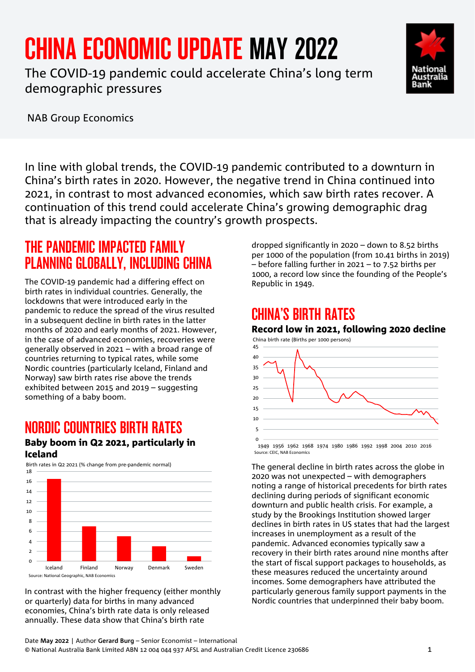# CHINA ECONOMIC UPDATE MAY 2022

The COVID-19 pandemic could accelerate China's long term demographic pressures





NAB Group Economics

In line with global trends, the COVID-19 pandemic contributed to a downturn in China's birth rates in 2020. However, the negative trend in China continued into 2021, in contrast to most advanced economies, which saw birth rates recover. A continuation of this trend could accelerate China's growing demographic drag that is already impacting the country's growth prospects.

# THE PANDEMIC IMPACTED FAMILY PLANNING GLOBALLY, INCLUDING CHINA

The COVID-19 pandemic had a differing effect on birth rates in individual countries. Generally, the lockdowns that were introduced early in the pandemic to reduce the spread of the virus resulted in a subsequent decline in birth rates in the latter months of 2020 and early months of 2021. However, in the case of advanced economies, recoveries were generally observed in 2021 – with a broad range of countries returning to typical rates, while some Nordic countries (particularly Iceland, Finland and Norway) saw birth rates rise above the trends exhibited between 2015 and 2019 – suggesting something of a baby boom.

# NORDIC COUNTRIES BIRTH RATES

#### Baby boom in Q2 2021, particularly in Iceland



In contrast with the higher frequency (either monthly or quarterly) data for births in many advanced economies, China's birth rate data is only released annually. These data show that China's birth rate

dropped significantly in 2020 – down to 8.52 births per 1000 of the population (from 10.41 births in 2019) – before falling further in 2021 – to 7.52 births per 1000, a record low since the founding of the People's Republic in 1949.

# CHINA'S BIRTH RATES

#### Record low in 2021, following 2020 decline



Source: CEIC, NAB Economics

The general decline in birth rates across the globe in 2020 was not unexpected – with demographers noting a range of historical precedents for birth rates declining during periods of significant economic downturn and public health crisis. For example, a study by the Brookings Institution showed larger declines in birth rates in US states that had the largest increases in unemployment as a result of the pandemic. Advanced economies typically saw a recovery in their birth rates around nine months after the start of fiscal support packages to households, as these measures reduced the uncertainty around incomes. Some demographers have attributed the particularly generous family support payments in the Nordic countries that underpinned their baby boom.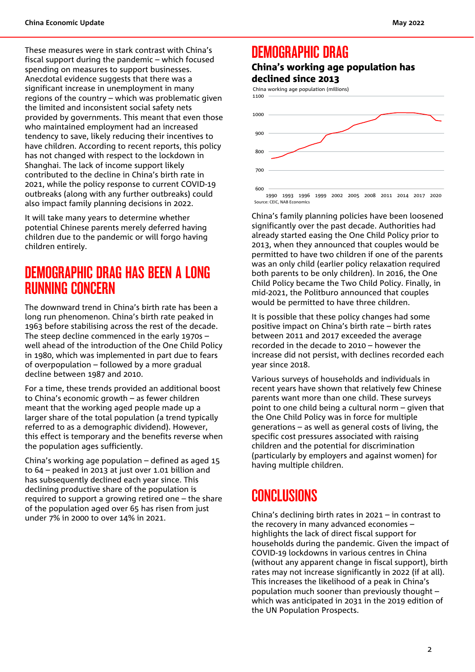These measures were in stark contrast with China's fiscal support during the pandemic – which focused spending on measures to support businesses. Anecdotal evidence suggests that there was a significant increase in unemployment in many regions of the country – which was problematic given the limited and inconsistent social safety nets provided by governments. This meant that even those who maintained employment had an increased tendency to save, likely reducing their incentives to have children. According to recent reports, this policy has not changed with respect to the lockdown in Shanghai. The lack of income support likely contributed to the decline in China's birth rate in 2021, while the policy response to current COVID-19 outbreaks (along with any further outbreaks) could also impact family planning decisions in 2022.

It will take many years to determine whether potential Chinese parents merely deferred having children due to the pandemic or will forgo having children entirely.

### DEMOGRAPHIC DRAG HAS BEEN A LONG RUNNING CONCERN

The downward trend in China's birth rate has been a long run phenomenon. China's birth rate peaked in 1963 before stabilising across the rest of the decade. The steep decline commenced in the early 1970s – well ahead of the introduction of the One Child Policy in 1980, which was implemented in part due to fears of overpopulation – followed by a more gradual decline between 1987 and 2010.

For a time, these trends provided an additional boost to China's economic growth – as fewer children meant that the working aged people made up a larger share of the total population (a trend typically referred to as a demographic dividend). However, this effect is temporary and the benefits reverse when the population ages sufficiently.

China's working age population – defined as aged 15 to 64 – peaked in 2013 at just over 1.01 billion and has subsequently declined each year since. This declining productive share of the population is required to support a growing retired one – the share of the population aged over 65 has risen from just under 7% in 2000 to over 14% in 2021.

### DEMOGRAPHIC DRAG

#### China's working age population has declined since 2013

China working age population (millions)



1990 1993 1996 1999 2002 2005 2008 2011 2014 2017 2020 Source: CEIC, NAB Economics

China's family planning policies have been loosened significantly over the past decade. Authorities had already started easing the One Child Policy prior to 2013, when they announced that couples would be permitted to have two children if one of the parents was an only child (earlier policy relaxation required both parents to be only children). In 2016, the One Child Policy became the Two Child Policy. Finally, in mid-2021, the Politburo announced that couples would be permitted to have three children.

It is possible that these policy changes had some positive impact on China's birth rate – birth rates between 2011 and 2017 exceeded the average recorded in the decade to 2010 – however the increase did not persist, with declines recorded each year since 2018.

Various surveys of households and individuals in recent years have shown that relatively few Chinese parents want more than one child. These surveys point to one child being a cultural norm – given that the One Child Policy was in force for multiple generations – as well as general costs of living, the specific cost pressures associated with raising children and the potential for discrimination (particularly by employers and against women) for having multiple children.

## **CONCLUSIONS**

China's declining birth rates in 2021 – in contrast to the recovery in many advanced economies – highlights the lack of direct fiscal support for households during the pandemic. Given the impact of COVID-19 lockdowns in various centres in China (without any apparent change in fiscal support), birth rates may not increase significantly in 2022 (if at all). This increases the likelihood of a peak in China's population much sooner than previously thought – which was anticipated in 2031 in the 2019 edition of the UN Population Prospects.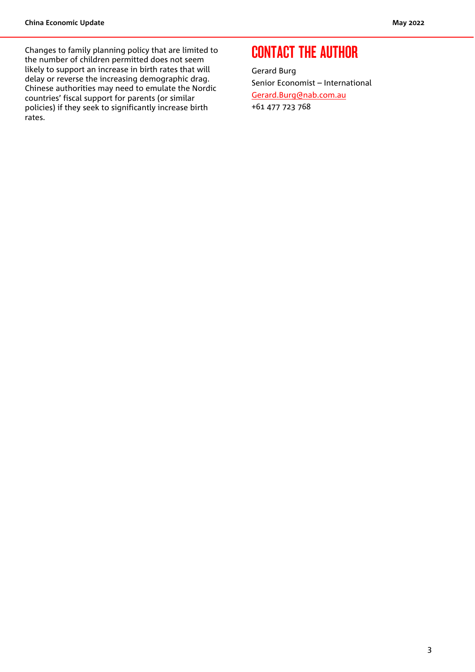Changes to family planning policy that are limited to the number of children permitted does not seem likely to support an increase in birth rates that will delay or reverse the increasing demographic drag. Chinese authorities may need to emulate the Nordic countries' fiscal support for parents (or similar policies) if they seek to significantly increase birth rates.

### CONTACT THE AUTHOR

Gerard Burg Senior Economist – International [Gerard.Burg@nab.com.au](mailto:Gerard.Burg@nab.com.au) +61 477 723 768